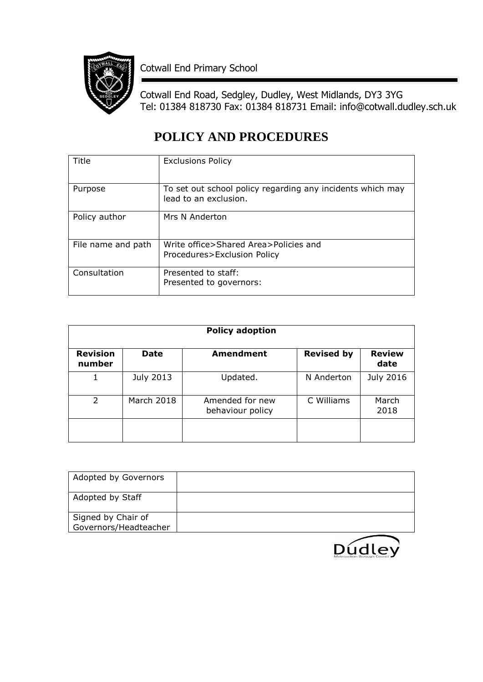

Cotwall End Primary School

Cotwall End Road, Sedgley, Dudley, West Midlands, DY3 3YG Tel: 01384 818730 Fax: 01384 818731 Email: info@cotwall.dudley.sch.uk

# **POLICY AND PROCEDURES**

| Title              | <b>Exclusions Policy</b>                                   |
|--------------------|------------------------------------------------------------|
|                    |                                                            |
|                    |                                                            |
| Purpose            | To set out school policy regarding any incidents which may |
|                    | lead to an exclusion.                                      |
|                    |                                                            |
|                    |                                                            |
| Policy author      | Mrs N Anderton                                             |
|                    |                                                            |
|                    |                                                            |
| File name and path | Write office>Shared Area>Policies and                      |
|                    | Procedures>Exclusion Policy                                |
|                    |                                                            |
| Consultation       | Presented to staff:                                        |
|                    | Presented to governors:                                    |
|                    |                                                            |
|                    |                                                            |

| <b>Policy adoption</b>    |             |                                     |                   |                       |  |
|---------------------------|-------------|-------------------------------------|-------------------|-----------------------|--|
| <b>Revision</b><br>number | <b>Date</b> | <b>Amendment</b>                    | <b>Revised by</b> | <b>Review</b><br>date |  |
|                           | July 2013   | Updated.                            | N Anderton        | July 2016             |  |
| $\mathcal{P}$             | March 2018  | Amended for new<br>behaviour policy | C Williams        | March<br>2018         |  |
|                           |             |                                     |                   |                       |  |

| Adopted by Governors                        |  |
|---------------------------------------------|--|
| Adopted by Staff                            |  |
| Signed by Chair of<br>Governors/Headteacher |  |

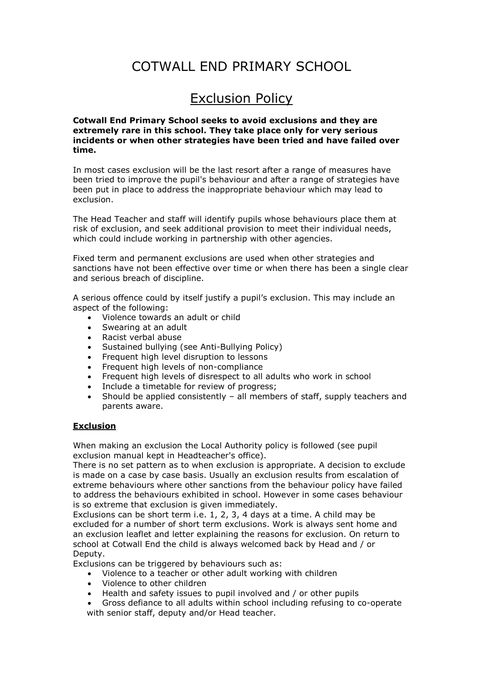# COTWALL END PRIMARY SCHOOL

# Exclusion Policy

**Cotwall End Primary School seeks to avoid exclusions and they are extremely rare in this school. They take place only for very serious incidents or when other strategies have been tried and have failed over time.**

In most cases exclusion will be the last resort after a range of measures have been tried to improve the pupil's behaviour and after a range of strategies have been put in place to address the inappropriate behaviour which may lead to exclusion.

The Head Teacher and staff will identify pupils whose behaviours place them at risk of exclusion, and seek additional provision to meet their individual needs, which could include working in partnership with other agencies.

Fixed term and permanent exclusions are used when other strategies and sanctions have not been effective over time or when there has been a single clear and serious breach of discipline.

A serious offence could by itself justify a pupil's exclusion. This may include an aspect of the following:

- Violence towards an adult or child
- Swearing at an adult
- Racist verbal abuse
- Sustained bullying (see Anti-Bullying Policy)
- Frequent high level disruption to lessons
- Frequent high levels of non-compliance
- Frequent high levels of disrespect to all adults who work in school
- Include a timetable for review of progress;
- Should be applied consistently all members of staff, supply teachers and parents aware.

### **Exclusion**

When making an exclusion the Local Authority policy is followed (see pupil exclusion manual kept in Headteacher's office).

There is no set pattern as to when exclusion is appropriate. A decision to exclude is made on a case by case basis. Usually an exclusion results from escalation of extreme behaviours where other sanctions from the behaviour policy have failed to address the behaviours exhibited in school. However in some cases behaviour is so extreme that exclusion is given immediately.

Exclusions can be short term i.e. 1, 2, 3, 4 days at a time. A child may be excluded for a number of short term exclusions. Work is always sent home and an exclusion leaflet and letter explaining the reasons for exclusion. On return to school at Cotwall End the child is always welcomed back by Head and / or Deputy.

Exclusions can be triggered by behaviours such as:

- Violence to a teacher or other adult working with children
- Violence to other children
- Health and safety issues to pupil involved and / or other pupils
- Gross defiance to all adults within school including refusing to co-operate with senior staff, deputy and/or Head teacher.